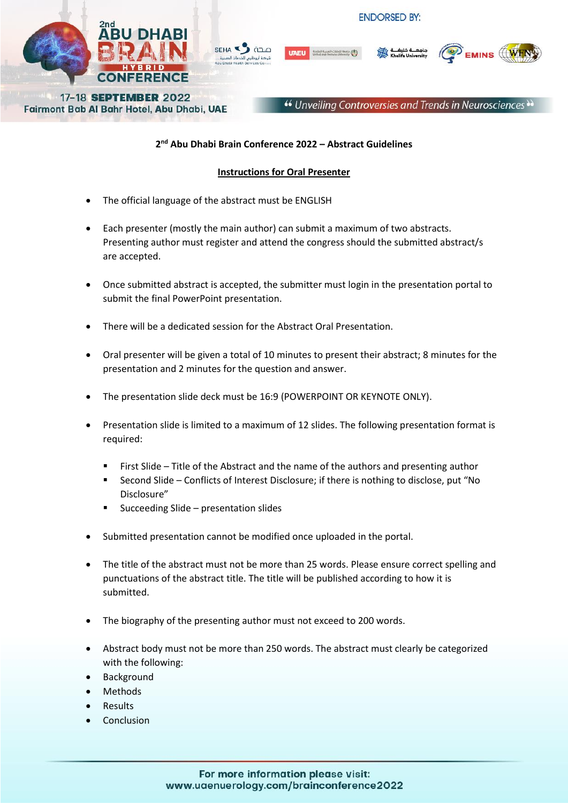



Fairmont Bab Al Bahr Hotel, Abu Dhabi, UAE

SFHA<sup></sup> ÖD.C



EMINS  $\left(\!\!\left(\!\!\left(\mathbf{W}\!\!\right)\!\!\right)$ 

## **2 nd Abu Dhabi Brain Conference 2022 – Abstract Guidelines**

## **Instructions for Oral Presenter**

- The official language of the abstract must be ENGLISH
- Each presenter (mostly the main author) can submit a maximum of two abstracts. Presenting author must register and attend the congress should the submitted abstract/s are accepted.
- Once submitted abstract is accepted, the submitter must login in the presentation portal to submit the final PowerPoint presentation.
- There will be a dedicated session for the Abstract Oral Presentation.
- Oral presenter will be given a total of 10 minutes to present their abstract; 8 minutes for the presentation and 2 minutes for the question and answer.
- The presentation slide deck must be 16:9 (POWERPOINT OR KEYNOTE ONLY).
- Presentation slide is limited to a maximum of 12 slides. The following presentation format is required:
	- First Slide Title of the Abstract and the name of the authors and presenting author
	- Second Slide Conflicts of Interest Disclosure; if there is nothing to disclose, put "No Disclosure"
	- Succeeding Slide presentation slides
- Submitted presentation cannot be modified once uploaded in the portal.
- The title of the abstract must not be more than 25 words. Please ensure correct spelling and punctuations of the abstract title. The title will be published according to how it is submitted.
- The biography of the presenting author must not exceed to 200 words.
- Abstract body must not be more than 250 words. The abstract must clearly be categorized with the following:
- Background
- Methods
- Results
- Conclusion

## For more information please visit: www.uaenuerology.com/brainconference2022